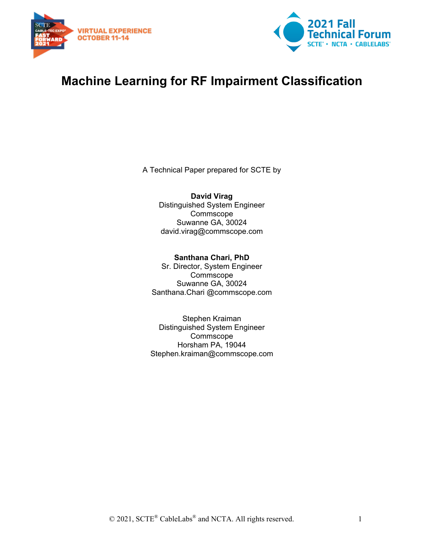



# **Machine Learning for RF Impairment Classification**

A Technical Paper prepared for SCTE by

**David Virag** Distinguished System Engineer Commscope Suwanne GA, 30024 david.virag@commscope.com

**Santhana Chari, PhD** Sr. Director, System Engineer Commscope Suwanne GA, 30024 Santhana.Chari @commscope.com

Stephen Kraiman Distinguished System Engineer Commscope Horsham PA, 19044 Stephen.kraiman@commscope.com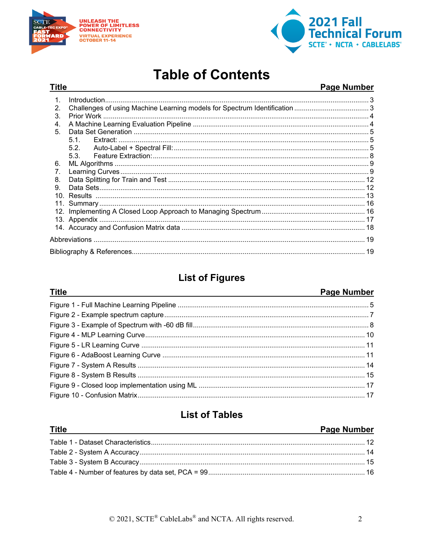

**Title** 



# **Table of Contents**

#### Page Number **Title**  $1.$  $\mathcal{P}$  $\mathbf{3}$ 4. 5  $5.1.$  $5.2.$  $5.3.$ 6. 7. 8  $\mathsf{Q}$

## **List of Figures**

#### Page Number

## **List of Tables**

| <b>Title</b><br>and the control of the control of the control of the control of the control of the control of the control of the | <b>Page Number</b> |
|----------------------------------------------------------------------------------------------------------------------------------|--------------------|
|                                                                                                                                  |                    |
|                                                                                                                                  |                    |
|                                                                                                                                  |                    |
|                                                                                                                                  |                    |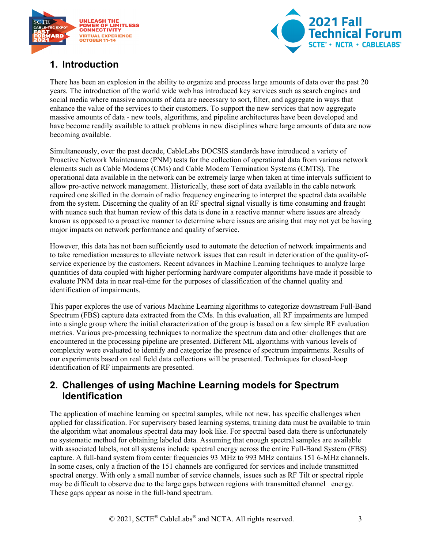



## <span id="page-2-0"></span>**1. Introduction**

There has been an explosion in the ability to organize and process large amounts of data over the past 20 years. The introduction of the world wide web has introduced key services such as search engines and social media where massive amounts of data are necessary to sort, filter, and aggregate in ways that enhance the value of the services to their customers. To support the new services that now aggregate massive amounts of data - new tools, algorithms, and pipeline architectures have been developed and have become readily available to attack problems in new disciplines where large amounts of data are now becoming available.

Simultaneously, over the past decade, CableLabs DOCSIS standards have introduced a variety of Proactive Network Maintenance (PNM) tests for the collection of operational data from various network elements such as Cable Modems (CMs) and Cable Modem Termination Systems (CMTS). The operational data available in the network can be extremely large when taken at time intervals sufficient to allow pro-active network management. Historically, these sort of data available in the cable network required one skilled in the domain of radio frequency engineering to interpret the spectral data available from the system. Discerning the quality of an RF spectral signal visually is time consuming and fraught with nuance such that human review of this data is done in a reactive manner where issues are already known as opposed to a proactive manner to determine where issues are arising that may not yet be having major impacts on network performance and quality of service.

However, this data has not been sufficiently used to automate the detection of network impairments and to take remediation measures to alleviate network issues that can result in deterioration of the quality-ofservice experience by the customers. Recent advances in Machine Learning techniques to analyze large quantities of data coupled with higher performing hardware computer algorithms have made it possible to evaluate PNM data in near real-time for the purposes of classification of the channel quality and identification of impairments.

This paper explores the use of various Machine Learning algorithms to categorize downstream Full-Band Spectrum (FBS) capture data extracted from the CMs. In this evaluation, all RF impairments are lumped into a single group where the initial characterization of the group is based on a few simple RF evaluation metrics. Various pre-processing techniques to normalize the spectrum data and other challenges that are encountered in the processing pipeline are presented. Different ML algorithms with various levels of complexity were evaluated to identify and categorize the presence of spectrum impairments. Results of our experiments based on real field data collections will be presented. Techniques for closed-loop identification of RF impairments are presented.

## <span id="page-2-1"></span>**2. Challenges of using Machine Learning models for Spectrum Identification**

The application of machine learning on spectral samples, while not new, has specific challenges when applied for classification. For supervisory based learning systems, training data must be available to train the algorithm what anomalous spectral data may look like. For spectral based data there is unfortunately no systematic method for obtaining labeled data. Assuming that enough spectral samples are available with associated labels, not all systems include spectral energy across the entire Full-Band System (FBS) capture. A full-band system from center frequencies 93 MHz to 993 MHz contains 151 6-MHz channels. In some cases, only a fraction of the 151 channels are configured for services and include transmitted spectral energy. With only a small number of service channels, issues such as RF Tilt or spectral ripple may be difficult to observe due to the large gaps between regions with transmitted channel energy. These gaps appear as noise in the full-band spectrum.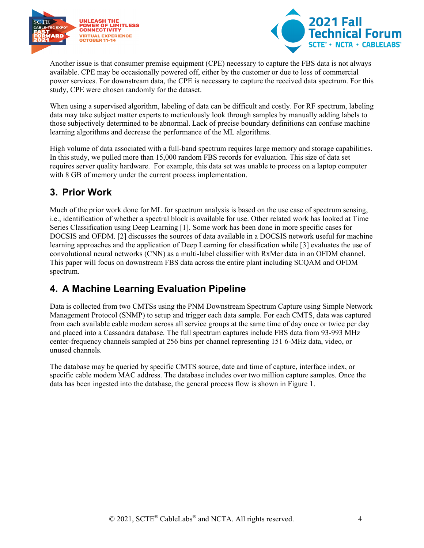



Another issue is that consumer premise equipment (CPE) necessary to capture the FBS data is not always available. CPE may be occasionally powered off, either by the customer or due to loss of commercial power services. For downstream data, the CPE is necessary to capture the received data spectrum. For this study, CPE were chosen randomly for the dataset.

When using a supervised algorithm, labeling of data can be difficult and costly. For RF spectrum, labeling data may take subject matter experts to meticulously look through samples by manually adding labels to those subjectively determined to be abnormal. Lack of precise boundary definitions can confuse machine learning algorithms and decrease the performance of the ML algorithms.

High volume of data associated with a full-band spectrum requires large memory and storage capabilities. In this study, we pulled more than 15,000 random FBS records for evaluation. This size of data set requires server quality hardware. For example, this data set was unable to process on a laptop computer with 8 GB of memory under the current process implementation.

## <span id="page-3-0"></span>**3. Prior Work**

Much of the prior work done for ML for spectrum analysis is based on the use case of spectrum sensing, i.e., identification of whether a spectral block is available for use. Other related work has looked at Time Series Classification using Deep Learning [1]. Some work has been done in more specific cases for DOCSIS and OFDM. [2] discusses the sources of data available in a DOCSIS network useful for machine learning approaches and the application of Deep Learning for classification while [3] evaluates the use of convolutional neural networks (CNN) as a multi-label classifier with RxMer data in an OFDM channel. This paper will focus on downstream FBS data across the entire plant including SCQAM and OFDM spectrum.

## <span id="page-3-1"></span>**4. A Machine Learning Evaluation Pipeline**

Data is collected from two CMTSs using the PNM Downstream Spectrum Capture using Simple Network Management Protocol (SNMP) to setup and trigger each data sample. For each CMTS, data was captured from each available cable modem across all service groups at the same time of day once or twice per day and placed into a Cassandra database. The full spectrum captures include FBS data from 93-993 MHz center-frequency channels sampled at 256 bins per channel representing 151 6-MHz data, video, or unused channels.

The database may be queried by specific CMTS source, date and time of capture, interface index, or specific cable modem MAC address. The database includes over two million capture samples. Once the data has been ingested into the database, the general process flow is shown in Figure 1.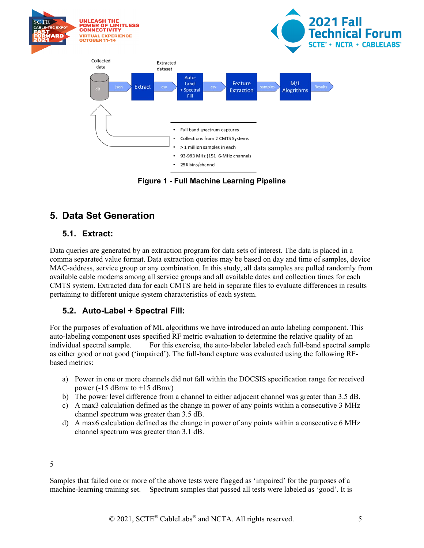

**Figure 1 - Full Machine Learning Pipeline**

## <span id="page-4-3"></span><span id="page-4-0"></span>**5. Data Set Generation**

#### <span id="page-4-1"></span>**5.1. Extract:**

Data queries are generated by an extraction program for data sets of interest. The data is placed in a comma separated value format. Data extraction queries may be based on day and time of samples, device MAC-address, service group or any combination. In this study, all data samples are pulled randomly from available cable modems among all service groups and all available dates and collection times for each CMTS system. Extracted data for each CMTS are held in separate files to evaluate differences in results pertaining to different unique system characteristics of each system.

### <span id="page-4-2"></span>**5.2. Auto-Label + Spectral Fill:**

For the purposes of evaluation of ML algorithms we have introduced an auto labeling component. This auto-labeling component uses specified RF metric evaluation to determine the relative quality of an individual spectral sample. For this exercise, the auto-labeler labeled each full-band spectral sample as either good or not good ('impaired'). The full-band capture was evaluated using the following RFbased metrics:

- a) Power in one or more channels did not fall within the DOCSIS specification range for received power  $(-15$  dBmv to  $+15$  dBmv)
- b) The power level difference from a channel to either adjacent channel was greater than 3.5 dB.
- c) A max3 calculation defined as the change in power of any points within a consecutive 3 MHz channel spectrum was greater than 3.5 dB.
- d) A max6 calculation defined as the change in power of any points within a consecutive 6 MHz channel spectrum was greater than 3.1 dB.

#### 5

Samples that failed one or more of the above tests were flagged as 'impaired' for the purposes of a machine-learning training set. Spectrum samples that passed all tests were labeled as 'good'. It is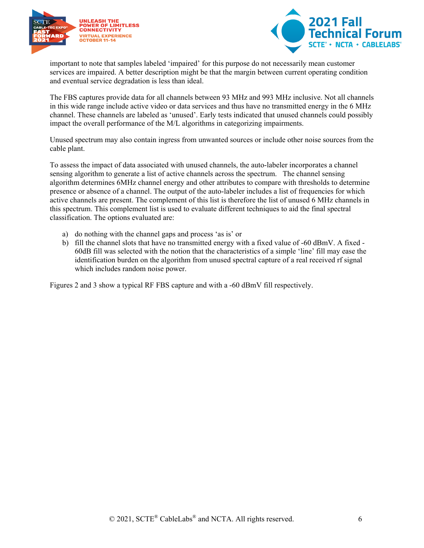



important to note that samples labeled 'impaired' for this purpose do not necessarily mean customer services are impaired. A better description might be that the margin between current operating condition and eventual service degradation is less than ideal.

The FBS captures provide data for all channels between 93 MHz and 993 MHz inclusive. Not all channels in this wide range include active video or data services and thus have no transmitted energy in the 6 MHz channel. These channels are labeled as 'unused'. Early tests indicated that unused channels could possibly impact the overall performance of the M/L algorithms in categorizing impairments.

Unused spectrum may also contain ingress from unwanted sources or include other noise sources from the cable plant.

To assess the impact of data associated with unused channels, the auto-labeler incorporates a channel sensing algorithm to generate a list of active channels across the spectrum. The channel sensing algorithm determines 6MHz channel energy and other attributes to compare with thresholds to determine presence or absence of a channel. The output of the auto-labeler includes a list of frequencies for which active channels are present. The complement of this list is therefore the list of unused 6 MHz channels in this spectrum. This complement list is used to evaluate different techniques to aid the final spectral classification. The options evaluated are:

- a) do nothing with the channel gaps and process 'as is' or
- b) fill the channel slots that have no transmitted energy with a fixed value of -60 dBmV. A fixed 60dB fill was selected with the notion that the characteristics of a simple 'line' fill may ease the identification burden on the algorithm from unused spectral capture of a real received rf signal which includes random noise power.

Figures 2 and 3 show a typical RF FBS capture and with a -60 dBmV fill respectively.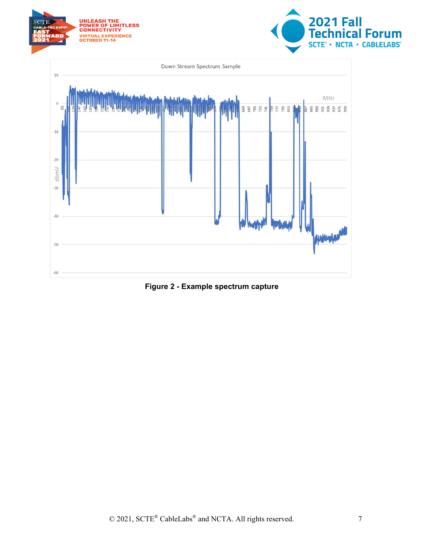

<span id="page-6-0"></span>**Figure 2 - Example spectrum capture**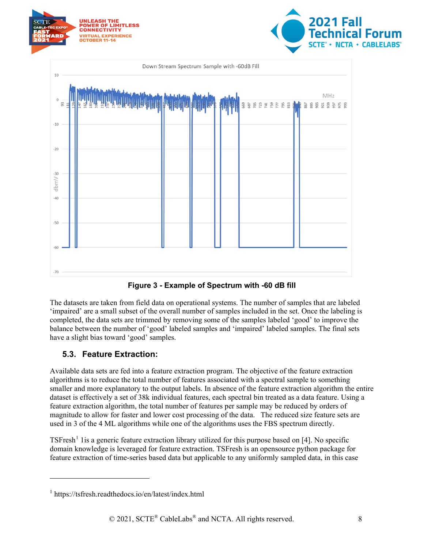

**Figure 3 - Example of Spectrum with -60 dB fill**

<span id="page-7-1"></span>The datasets are taken from field data on operational systems. The number of samples that are labeled 'impaired' are a small subset of the overall number of samples included in the set. Once the labeling is completed, the data sets are trimmed by removing some of the samples labeled 'good' to improve the balance between the number of 'good' labeled samples and 'impaired' labeled samples. The final sets have a slight bias toward 'good' samples.

### <span id="page-7-0"></span>**5.3. Feature Extraction:**

Available data sets are fed into a feature extraction program. The objective of the feature extraction algorithms is to reduce the total number of features associated with a spectral sample to something smaller and more explanatory to the output labels. In absence of the feature extraction algorithm the entire dataset is effectively a set of 38k individual features, each spectral bin treated as a data feature. Using a feature extraction algorithm, the total number of features per sample may be reduced by orders of magnitude to allow for faster and lower cost processing of the data. The reduced size feature sets are used in 3 of the 4 ML algorithms while one of the algorithms uses the FBS spectrum directly.

 $T\text{S}$ Fresh<sup>[1](#page-7-2)</sup> 1 is a generic feature extraction library utilized for this purpose based on [4]. No specific domain knowledge is leveraged for feature extraction. TSFresh is an opensource python package for feature extraction of time-series based data but applicable to any uniformly sampled data, in this case

<span id="page-7-2"></span><sup>1</sup> https://tsfresh.readthedocs.io/en/latest/index.html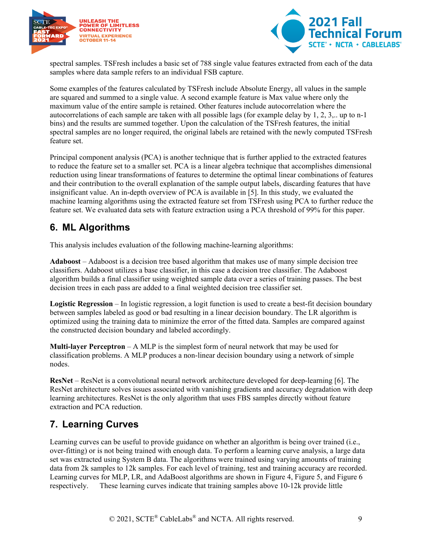



spectral samples. TSFresh includes a basic set of 788 single value features extracted from each of the data samples where data sample refers to an individual FSB capture.

Some examples of the features calculated by TSFresh include Absolute Energy, all values in the sample are squared and summed to a single value. A second example feature is Max value where only the maximum value of the entire sample is retained. Other features include autocorrelation where the autocorrelations of each sample are taken with all possible lags (for example delay by 1, 2, 3,.. up to n-1 bins) and the results are summed together. Upon the calculation of the TSFresh features, the initial spectral samples are no longer required, the original labels are retained with the newly computed TSFresh feature set.

Principal component analysis (PCA) is another technique that is further applied to the extracted features to reduce the feature set to a smaller set. PCA is a linear algebra technique that accomplishes dimensional reduction using linear transformations of features to determine the optimal linear combinations of features and their contribution to the overall explanation of the sample output labels, discarding features that have insignificant value. An in-depth overview of PCA is available in [5]. In this study, we evaluated the machine learning algorithms using the extracted feature set from TSFresh using PCA to further reduce the feature set. We evaluated data sets with feature extraction using a PCA threshold of 99% for this paper.

## <span id="page-8-0"></span>**6. ML Algorithms**

This analysis includes evaluation of the following machine-learning algorithms:

**Adaboost** – Adaboost is a decision tree based algorithm that makes use of many simple decision tree classifiers. Adaboost utilizes a base classifier, in this case a decision tree classifier. The Adaboost algorithm builds a final classifier using weighted sample data over a series of training passes. The best decision trees in each pass are added to a final weighted decision tree classifier set.

**Logistic Regression** – In logistic regression, a logit function is used to create a best-fit decision boundary between samples labeled as good or bad resulting in a linear decision boundary. The LR algorithm is optimized using the training data to minimize the error of the fitted data. Samples are compared against the constructed decision boundary and labeled accordingly.

**Multi-layer Perceptron** – A MLP is the simplest form of neural network that may be used for classification problems. A MLP produces a non-linear decision boundary using a network of simple nodes.

**ResNet** – ResNet is a convolutional neural network architecture developed for deep-learning [6]. The ResNet architecture solves issues associated with vanishing gradients and accuracy degradation with deep learning architectures. ResNet is the only algorithm that uses FBS samples directly without feature extraction and PCA reduction.

## <span id="page-8-1"></span>**7. Learning Curves**

Learning curves can be useful to provide guidance on whether an algorithm is being over trained (i.e., over-fitting) or is not being trained with enough data. To perform a learning curve analysis, a large data set was extracted using System B data. The algorithms were trained using varying amounts of training data from 2k samples to 12k samples. For each level of training, test and training accuracy are recorded. Learning curves for MLP, LR, and AdaBoost algorithms are shown in Figure 4, Figure 5, and Figure 6 respectively. These learning curves indicate that training samples above 10-12k provide little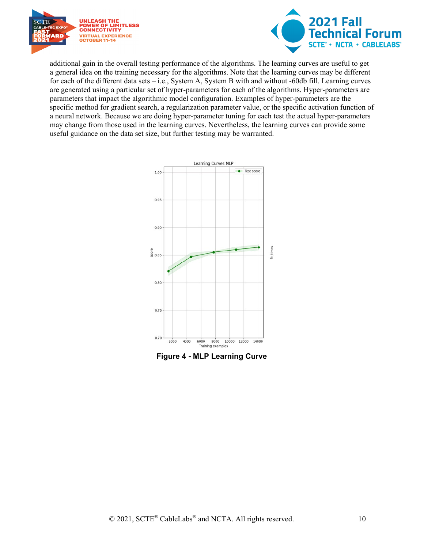



additional gain in the overall testing performance of the algorithms. The learning curves are useful to get a general idea on the training necessary for the algorithms. Note that the learning curves may be different for each of the different data sets – i.e., System A, System B with and without -60db fill. Learning curves are generated using a particular set of hyper-parameters for each of the algorithms. Hyper-parameters are parameters that impact the algorithmic model configuration. Examples of hyper-parameters are the specific method for gradient search, a regularization parameter value, or the specific activation function of a neural network. Because we are doing hyper-parameter tuning for each test the actual hyper-parameters may change from those used in the learning curves. Nevertheless, the learning curves can provide some useful guidance on the data set size, but further testing may be warranted.



<span id="page-9-0"></span>**Figure 4 - MLP Learning Curve**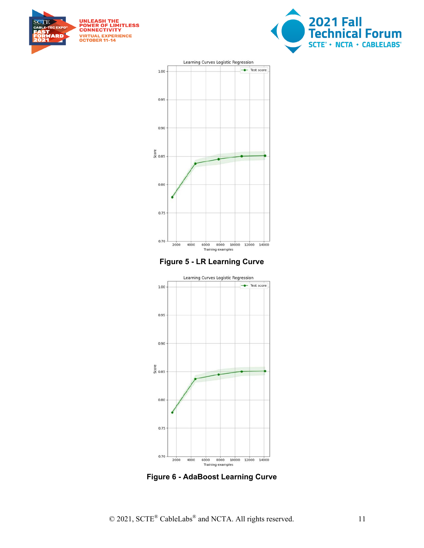







<span id="page-10-0"></span>

<span id="page-10-1"></span>**Figure 6 - AdaBoost Learning Curve**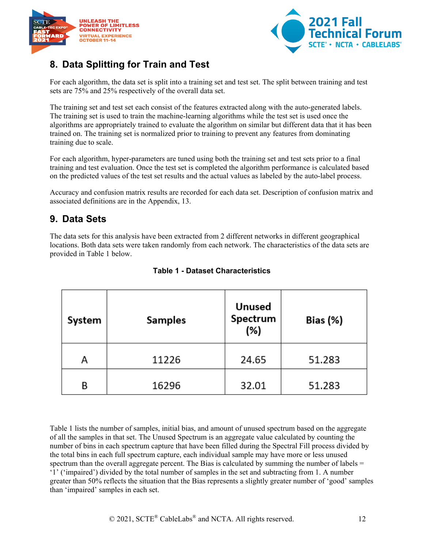



## <span id="page-11-0"></span>**8. Data Splitting for Train and Test**

For each algorithm, the data set is split into a training set and test set. The split between training and test sets are 75% and 25% respectively of the overall data set.

The training set and test set each consist of the features extracted along with the auto-generated labels. The training set is used to train the machine-learning algorithms while the test set is used once the algorithms are appropriately trained to evaluate the algorithm on similar but different data that it has been trained on. The training set is normalized prior to training to prevent any features from dominating training due to scale.

For each algorithm, hyper-parameters are tuned using both the training set and test sets prior to a final training and test evaluation. Once the test set is completed the algorithm performance is calculated based on the predicted values of the test set results and the actual values as labeled by the auto-label process.

Accuracy and confusion matrix results are recorded for each data set. Description of confusion matrix and associated definitions are in the Appendix, 13.

## <span id="page-11-1"></span>**9. Data Sets**

<span id="page-11-2"></span>The data sets for this analysis have been extracted from 2 different networks in different geographical locations. Both data sets were taken randomly from each network. The characteristics of the data sets are provided in Table 1 below.

| System | <b>Samples</b> | Unused<br>Spectrum<br>(%) | Bias (%) |
|--------|----------------|---------------------------|----------|
| А      | 11226          | 24.65                     | 51.283   |
| В      | 16296          | 32.01                     | 51.283   |

#### **Table 1 - Dataset Characteristics**

Table 1 lists the number of samples, initial bias, and amount of unused spectrum based on the aggregate of all the samples in that set. The Unused Spectrum is an aggregate value calculated by counting the number of bins in each spectrum capture that have been filled during the Spectral Fill process divided by the total bins in each full spectrum capture, each individual sample may have more or less unused spectrum than the overall aggregate percent. The Bias is calculated by summing the number of labels  $=$ '1' ('impaired') divided by the total number of samples in the set and subtracting from 1. A number greater than 50% reflects the situation that the Bias represents a slightly greater number of 'good' samples than 'impaired' samples in each set.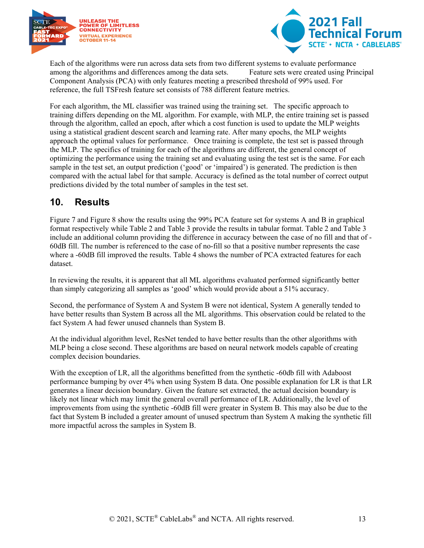



Each of the algorithms were run across data sets from two different systems to evaluate performance among the algorithms and differences among the data sets. Feature sets were created using Principal Component Analysis (PCA) with only features meeting a prescribed threshold of 99% used. For reference, the full TSFresh feature set consists of 788 different feature metrics.

For each algorithm, the ML classifier was trained using the training set. The specific approach to training differs depending on the ML algorithm. For example, with MLP, the entire training set is passed through the algorithm, called an epoch, after which a cost function is used to update the MLP weights using a statistical gradient descent search and learning rate. After many epochs, the MLP weights approach the optimal values for performance. Once training is complete, the test set is passed through the MLP. The specifics of training for each of the algorithms are different, the general concept of optimizing the performance using the training set and evaluating using the test set is the same. For each sample in the test set, an output prediction ('good' or 'impaired') is generated. The prediction is then compared with the actual label for that sample. Accuracy is defined as the total number of correct output predictions divided by the total number of samples in the test set.

## <span id="page-12-0"></span>**10. Results**

Figure 7 and Figure 8 show the results using the 99% PCA feature set for systems A and B in graphical format respectively while Table 2 and Table 3 provide the results in tabular format. Table 2 and Table 3 include an additional column providing the difference in accuracy between the case of no fill and that of - 60dB fill. The number is referenced to the case of no-fill so that a positive number represents the case where a -60dB fill improved the results. Table 4 shows the number of PCA extracted features for each dataset.

In reviewing the results, it is apparent that all ML algorithms evaluated performed significantly better than simply categorizing all samples as 'good' which would provide about a 51% accuracy.

Second, the performance of System A and System B were not identical, System A generally tended to have better results than System B across all the ML algorithms. This observation could be related to the fact System A had fewer unused channels than System B.

At the individual algorithm level, ResNet tended to have better results than the other algorithms with MLP being a close second. These algorithms are based on neural network models capable of creating complex decision boundaries.

With the exception of LR, all the algorithms benefitted from the synthetic -60db fill with Adaboost performance bumping by over 4% when using System B data. One possible explanation for LR is that LR generates a linear decision boundary. Given the feature set extracted, the actual decision boundary is likely not linear which may limit the general overall performance of LR. Additionally, the level of improvements from using the synthetic -60dB fill were greater in System B. This may also be due to the fact that System B included a greater amount of unused spectrum than System A making the synthetic fill more impactful across the samples in System B.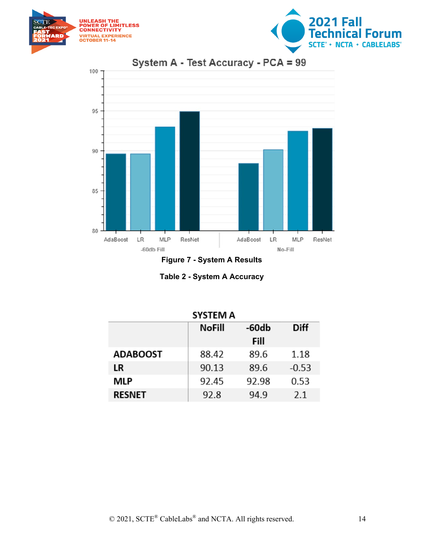





**Figure 7 - System A Results**

| Table 2 - System A Accuracy |  |
|-----------------------------|--|
|-----------------------------|--|

<span id="page-13-1"></span><span id="page-13-0"></span>

| SYSTEM A        |               |         |             |  |  |  |
|-----------------|---------------|---------|-------------|--|--|--|
|                 | <b>NoFill</b> | $-60db$ | <b>Diff</b> |  |  |  |
|                 |               | Fill    |             |  |  |  |
| <b>ADABOOST</b> | 88.42         | 89.6    | 1.18        |  |  |  |
| LR              | 90.13         | 89.6    | $-0.53$     |  |  |  |
| MLP             | 92.45         | 92.98   | 0.53        |  |  |  |
| <b>RESNET</b>   | 92.8          | 94.9    | 2.1         |  |  |  |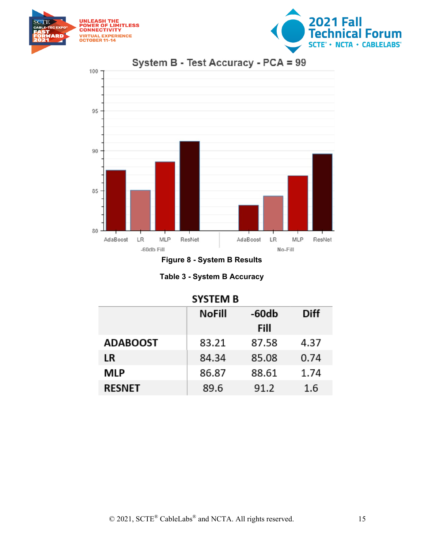





**Figure 8 - System B Results**

| <b>Table 3 - System B Accuracy</b> |  |  |  |
|------------------------------------|--|--|--|
|------------------------------------|--|--|--|

<span id="page-14-1"></span><span id="page-14-0"></span>

| <b>SYSTEM B</b> |               |         |             |  |  |  |
|-----------------|---------------|---------|-------------|--|--|--|
|                 | <b>NoFill</b> | $-60db$ | <b>Diff</b> |  |  |  |
|                 |               | Fill    |             |  |  |  |
| <b>ADABOOST</b> | 83.21         | 87.58   | 4.37        |  |  |  |
| LR              | 84.34         | 85.08   | 0.74        |  |  |  |
| MLP             | 86.87         | 88.61   | 1.74        |  |  |  |
| <b>RESNET</b>   | 89.6          | 91.2    | 1.6         |  |  |  |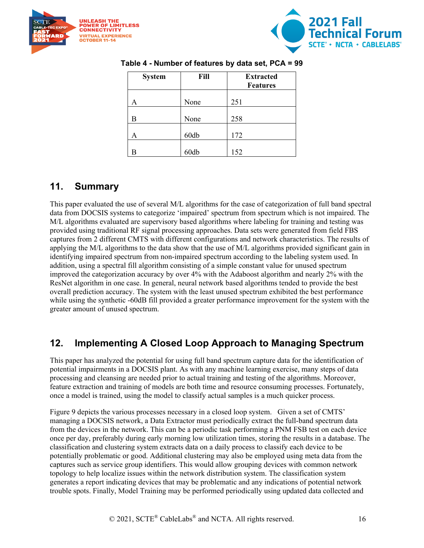<span id="page-15-2"></span>



| <b>System</b> | Fill | <b>Extracted</b><br><b>Features</b> |
|---------------|------|-------------------------------------|
|               | None | 251                                 |
| В             | None | 258                                 |
| Α             | 60db | 172                                 |
| в             | 60db | 152                                 |

#### **Table 4 - Number of features by data set, PCA = 99**

### <span id="page-15-0"></span>**11. Summary**

This paper evaluated the use of several M/L algorithms for the case of categorization of full band spectral data from DOCSIS systems to categorize 'impaired' spectrum from spectrum which is not impaired. The M/L algorithms evaluated are supervisory based algorithms where labeling for training and testing was provided using traditional RF signal processing approaches. Data sets were generated from field FBS captures from 2 different CMTS with different configurations and network characteristics. The results of applying the M/L algorithms to the data show that the use of M/L algorithms provided significant gain in identifying impaired spectrum from non-impaired spectrum according to the labeling system used. In addition, using a spectral fill algorithm consisting of a simple constant value for unused spectrum improved the categorization accuracy by over 4% with the Adaboost algorithm and nearly 2% with the ResNet algorithm in one case. In general, neural network based algorithms tended to provide the best overall prediction accuracy. The system with the least unused spectrum exhibited the best performance while using the synthetic -60dB fill provided a greater performance improvement for the system with the greater amount of unused spectrum.

### <span id="page-15-1"></span>**12. Implementing A Closed Loop Approach to Managing Spectrum**

This paper has analyzed the potential for using full band spectrum capture data for the identification of potential impairments in a DOCSIS plant. As with any machine learning exercise, many steps of data processing and cleansing are needed prior to actual training and testing of the algorithms. Moreover, feature extraction and training of models are both time and resource consuming processes. Fortunately, once a model is trained, using the model to classify actual samples is a much quicker process.

Figure 9 depicts the various processes necessary in a closed loop system. Given a set of CMTS' managing a DOCSIS network, a Data Extractor must periodically extract the full-band spectrum data from the devices in the network. This can be a periodic task performing a PNM FSB test on each device once per day, preferably during early morning low utilization times, storing the results in a database. The classification and clustering system extracts data on a daily process to classify each device to be potentially problematic or good. Additional clustering may also be employed using meta data from the captures such as service group identifiers. This would allow grouping devices with common network topology to help localize issues within the network distribution system. The classification system generates a report indicating devices that may be problematic and any indications of potential network trouble spots. Finally, Model Training may be performed periodically using updated data collected and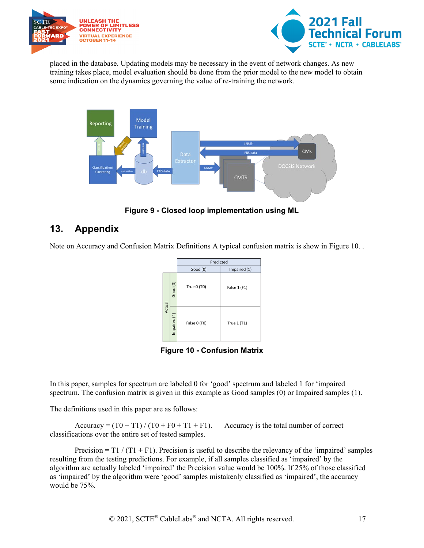



placed in the database. Updating models may be necessary in the event of network changes. As new training takes place, model evaluation should be done from the prior model to the new model to obtain some indication on the dynamics governing the value of re-training the network.



**Figure 9 - Closed loop implementation using ML**

## <span id="page-16-1"></span><span id="page-16-0"></span>**13. Appendix**

Note on Accuracy and Confusion Matrix Definitions A typical confusion matrix is show in Figure 10. .



**Figure 10 - Confusion Matrix**

<span id="page-16-2"></span>In this paper, samples for spectrum are labeled 0 for 'good' spectrum and labeled 1 for 'impaired spectrum. The confusion matrix is given in this example as Good samples (0) or Impaired samples (1).

The definitions used in this paper are as follows:

Accuracy =  $(T0 + T1) / (T0 + F0 + T1 + F1)$ . Accuracy is the total number of correct classifications over the entire set of tested samples.

Precision =  $T1 / (T1 + F1)$ . Precision is useful to describe the relevancy of the 'impaired' samples resulting from the testing predictions. For example, if all samples classified as 'impaired' by the algorithm are actually labeled 'impaired' the Precision value would be 100%. If 25% of those classified as 'impaired' by the algorithm were 'good' samples mistakenly classified as 'impaired', the accuracy would be 75%.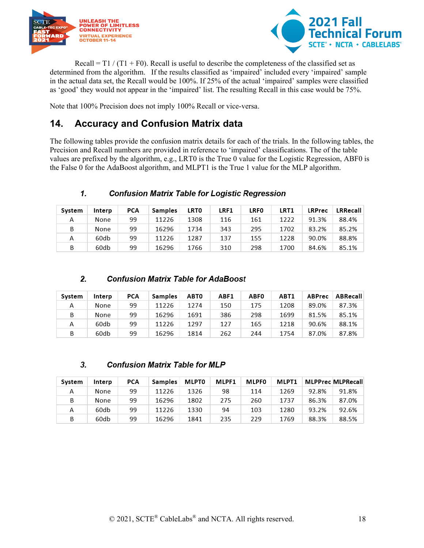



Recall =  $T1 / (T1 + F0)$ . Recall is useful to describe the completeness of the classified set as determined from the algorithm. If the results classified as 'impaired' included every 'impaired' sample in the actual data set, the Recall would be 100%. If 25% of the actual 'impaired' samples were classified as 'good' they would not appear in the 'impaired' list. The resulting Recall in this case would be 75%.

<span id="page-17-0"></span>Note that 100% Precision does not imply 100% Recall or vice-versa.

## **14. Accuracy and Confusion Matrix data**

The following tables provide the confusion matrix details for each of the trials. In the following tables, the Precision and Recall numbers are provided in reference to 'impaired' classifications. The of the table values are prefixed by the algorithm, e.g., LRT0 is the True 0 value for the Logistic Regression, ABF0 is the False 0 for the AdaBoost algorithm, and MLPT1 is the True 1 value for the MLP algorithm.

#### 1. **Confusion Matrix Table for Logistic Regression**

| System | Interp | PCA | Samples | <b>LRT0</b> | LRF1 | <b>LRFO</b> | LRT1 | <b>LRPrec</b> | LRRecall |
|--------|--------|-----|---------|-------------|------|-------------|------|---------------|----------|
| А      | None   | 99  | 11226   | 1308        | 116  | 161         | 1222 | 91.3%         | 88.4%    |
| B      | None   | 99  | 16296   | 1734        | 343  | 295         | 1702 | 83.2%         | 85.2%    |
| А      | 60db   | 99  | 11226   | 1287        | 137  | 155         | 1228 | 90.0%         | 88.8%    |
| B      | 60db   | 99  | 16296   | 1766        | 310  | 298         | 1700 | 84.6%         | 85.1%    |

#### $2.$ **Confusion Matrix Table for AdaBoost**

| Svstem | Interp | PCA | Samples | <b>ABTO</b> | ABF1 | <b>ABF0</b> | ABT1 | <b>ABPrec</b> | ABRecall |
|--------|--------|-----|---------|-------------|------|-------------|------|---------------|----------|
| Α      | None   | 99  | 11226   | 1274        | 150  | 175         | 1208 | 89.0%         | 87.3%    |
| B      | None   | 99  | 16296   | 1691        | 386  | 298         | 1699 | 81.5%         | 85.1%    |
| А      | 60db   | 99  | 11226   | 1297        | 127  | 165         | 1218 | 90.6%         | 88.1%    |
| B      | 60db   | 99  | 16296   | 1814        | 262  | 244         | 1754 | 87.0%         | 87.8%    |

#### 3. **Confusion Matrix Table for MLP**

| System | Interp | PCA | Samples | <b>MLPT0</b> | MLPF1 | <b>MLPF0</b> | MLPT1 |       | <b>MLPPrec MLPRecall</b> |
|--------|--------|-----|---------|--------------|-------|--------------|-------|-------|--------------------------|
| А      | None   | 99  | 11226   | 1326         | 98    | 114          | 1269  | 92.8% | 91.8%                    |
| B      | None   | 99  | 16296   | 1802         | 275   | 260          | 1737  | 86.3% | 87.0%                    |
| А      | 60db   | 99  | 11226   | 1330         | 94    | 103          | 1280  | 93.2% | 92.6%                    |
| B      | 60db   | 99  | 16296   | 1841         | 235   | 229          | 1769  | 88.3% | 88.5%                    |